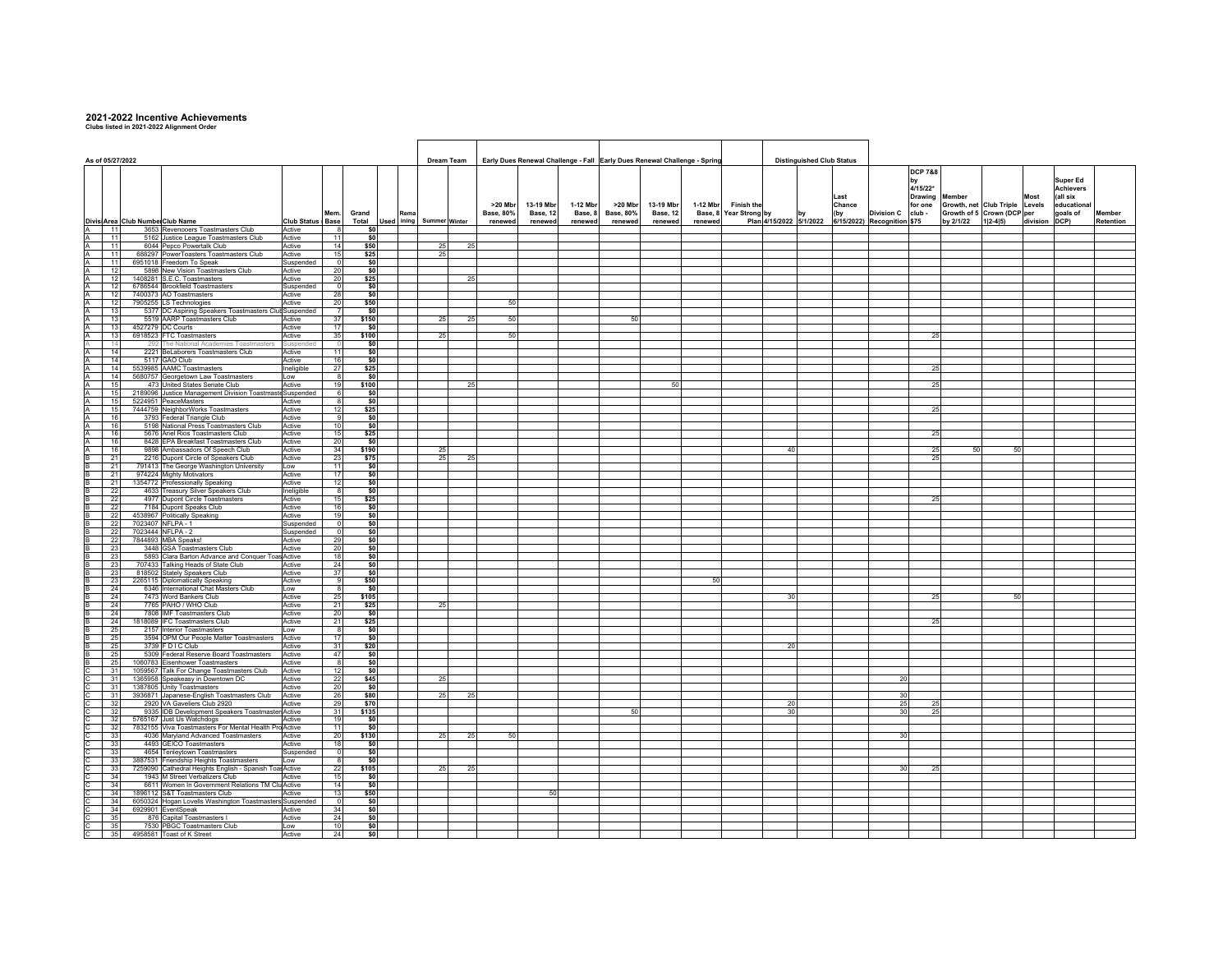## **2021-2022 Incentive Achievements Clubs listed in 2021-2022 Alignment Order**

| As of 05/27/2022 |            |  |                                                                                           |                     |                  |               |       |    | Dream Team           |                             |                       |                     | Early Dues Renewal Challenge - Fall Early Dues Renewal Challenge - Spring |                       |          |                                             | <b>Distinguished Club Status</b> |                                    |                          |                                                              |               |                         |           |  |  |  |
|------------------|------------|--|-------------------------------------------------------------------------------------------|---------------------|------------------|---------------|-------|----|----------------------|-----------------------------|-----------------------|---------------------|---------------------------------------------------------------------------|-----------------------|----------|---------------------------------------------|----------------------------------|------------------------------------|--------------------------|--------------------------------------------------------------|---------------|-------------------------|-----------|--|--|--|
|                  |            |  |                                                                                           |                     |                  |               |       |    |                      |                             |                       |                     |                                                                           |                       |          |                                             |                                  |                                    | <b>DCP 7&amp;8</b>       |                                                              |               |                         |           |  |  |  |
|                  |            |  |                                                                                           |                     |                  |               |       |    |                      |                             |                       |                     |                                                                           |                       |          |                                             |                                  |                                    |                          |                                                              |               | Super Ed                |           |  |  |  |
|                  |            |  |                                                                                           |                     |                  |               |       |    |                      |                             |                       |                     |                                                                           |                       |          |                                             |                                  |                                    | 4/15/22*                 |                                                              |               | <b>Achievers</b>        |           |  |  |  |
|                  |            |  |                                                                                           |                     |                  |               |       |    |                      |                             |                       |                     |                                                                           |                       |          |                                             |                                  | Last                               | <b>Drawing</b><br>Member |                                                              | Most          | (all six                |           |  |  |  |
|                  |            |  |                                                                                           |                     | Mem              | Grand         |       |    |                      | >20 Mbr<br><b>Base, 80%</b> | 13-19 Mbr<br>Base, 12 | 1-12 Mbr<br>Base, 8 | >20 Mbr<br><b>Base, 80%</b>                                               | 13-19 Mbr<br>Base, 12 | 1-12 Mbr | <b>Finish the</b><br>Base, 8 Year Strong by |                                  | Chance<br><b>Division C</b><br>(by | for one<br>club -        | Growth, net Club Triple Levels<br>Growth of 5 Crown (DCP per |               | educational<br>goals of | Member    |  |  |  |
|                  |            |  | Divisi Area Club Numbe Club Name                                                          | <b>Club Status</b>  | <b>Base</b>      | Total<br>Used | ining |    | <b>Summer Winter</b> | renewed                     | renewed               | renewed             | renewed                                                                   | renewed               | renewed  |                                             | Plan 4/15/2022 5/1/2022          | 6/15/2022) Recognition \$75        | by 2/1/22                | $1 2-4 5)$                                                   | division DCP) |                         | Retention |  |  |  |
|                  | 11         |  | 3653 Revenooers Toastmasters Club                                                         | Active              |                  | \$0           |       |    |                      |                             |                       |                     |                                                                           |                       |          |                                             |                                  |                                    |                          |                                                              |               |                         |           |  |  |  |
|                  | 11         |  | 5162 Justice League Toastmasters Club                                                     | Active              | 11               | \$0           |       |    |                      |                             |                       |                     |                                                                           |                       |          |                                             |                                  |                                    |                          |                                                              |               |                         |           |  |  |  |
|                  | 11         |  | 6044 Pepco Powertalk Club                                                                 | Active              | 14               | \$50          |       | 25 | 25                   |                             |                       |                     |                                                                           |                       |          |                                             |                                  |                                    |                          |                                                              |               |                         |           |  |  |  |
|                  | 11<br>11   |  | 688297 PowerToasters Toastmasters Club<br>6951018 Freedom To Speak                        | Active<br>Suspended | 15<br>$\sqrt{2}$ | \$25<br>\$0   |       | 25 |                      |                             |                       |                     |                                                                           |                       |          |                                             |                                  |                                    |                          |                                                              |               |                         |           |  |  |  |
|                  | 12         |  | 5898 New Vision Toastmasters Club                                                         | Active              | 20               | \$0           |       |    |                      |                             |                       |                     |                                                                           |                       |          |                                             |                                  |                                    |                          |                                                              |               |                         |           |  |  |  |
| A                | 12         |  | 1408281 S.E.C. Toastmasters                                                               | Active              | 20               | \$25          |       |    | 25                   |                             |                       |                     |                                                                           |                       |          |                                             |                                  |                                    |                          |                                                              |               |                         |           |  |  |  |
|                  | 12         |  | 6786544 Brookfield Toastmasters                                                           | Suspended           |                  | \$0           |       |    |                      |                             |                       |                     |                                                                           |                       |          |                                             |                                  |                                    |                          |                                                              |               |                         |           |  |  |  |
|                  | 12<br>12   |  | 7400373 AO Toastmasters<br>7905255 LS Technologies                                        | Active<br>Active    | 28<br>20         | \$0<br>\$50   |       |    |                      | 50                          |                       |                     |                                                                           |                       |          |                                             |                                  |                                    |                          |                                                              |               |                         |           |  |  |  |
|                  | 13         |  | 5377 DC Aspiring Speakers Toastmasters Club Suspended                                     |                     | -7               | \$0           |       |    |                      |                             |                       |                     |                                                                           |                       |          |                                             |                                  |                                    |                          |                                                              |               |                         |           |  |  |  |
|                  | 13         |  | 5519 AARP Toastmasters Club                                                               | Active              | 37               | \$150         |       | 25 | 25                   | 50                          |                       |                     | 50                                                                        |                       |          |                                             |                                  |                                    |                          |                                                              |               |                         |           |  |  |  |
|                  | 13         |  | 4527279 DC Courts                                                                         | Active              | 17               | \$0           |       |    |                      |                             |                       |                     |                                                                           |                       |          |                                             |                                  |                                    |                          |                                                              |               |                         |           |  |  |  |
|                  | 13<br>14   |  | 6918523 FTC Toastmasters                                                                  | Active              | 35               | \$100         |       | 25 |                      | 50                          |                       |                     |                                                                           |                       |          |                                             |                                  |                                    | 25                       |                                                              |               |                         |           |  |  |  |
|                  | 14         |  | 292 The National Academies Toastmasters<br>2221 BeLaborers Toastmasters Club              | Suspend<br>Active   | 11               | \$0<br>\$0    |       |    |                      |                             |                       |                     |                                                                           |                       |          |                                             |                                  |                                    |                          |                                                              |               |                         |           |  |  |  |
|                  | 14         |  | 5117 GAO Club                                                                             | Active              | 16               | \$0           |       |    |                      |                             |                       |                     |                                                                           |                       |          |                                             |                                  |                                    |                          |                                                              |               |                         |           |  |  |  |
|                  | 14         |  | 5539985 AAMC Toastmasters                                                                 | Ineligible          | 27               | \$25          |       |    |                      |                             |                       |                     |                                                                           |                       |          |                                             |                                  |                                    | 25                       |                                                              |               |                         |           |  |  |  |
|                  | 14         |  | 5680757 Georgetown Law Toastmasters                                                       | Low                 | - 8              | \$0           |       |    |                      |                             |                       |                     |                                                                           |                       |          |                                             |                                  |                                    |                          |                                                              |               |                         |           |  |  |  |
|                  | 15<br>15   |  | 473 United States Senate Club<br>2189096 Justice Management Division Toastmaste Suspended | Active              | 19<br>6          | \$100<br>\$0  |       |    | 25                   |                             |                       |                     |                                                                           | 50                    |          |                                             |                                  |                                    | 25                       |                                                              |               |                         |           |  |  |  |
|                  | 15         |  | 5224951 PeaceMasters                                                                      | Active              |                  | \$0           |       |    |                      |                             |                       |                     |                                                                           |                       |          |                                             |                                  |                                    |                          |                                                              |               |                         |           |  |  |  |
|                  | 15         |  | 7444759 NeighborWorks Toastmasters                                                        | Active              | 12               | \$25          |       |    |                      |                             |                       |                     |                                                                           |                       |          |                                             |                                  |                                    | 25                       |                                                              |               |                         |           |  |  |  |
|                  | 16         |  | 3793 Federal Triangle Club                                                                | Active              |                  | \$0           |       |    |                      |                             |                       |                     |                                                                           |                       |          |                                             |                                  |                                    |                          |                                                              |               |                         |           |  |  |  |
|                  | 16<br>16   |  | 5198 National Press Toastmasters Club<br>5676 Ariel Rios Toastmasters Club                | Active<br>Active    | 10<br>15         | \$0<br>\$25   |       |    |                      |                             |                       |                     |                                                                           |                       |          |                                             |                                  |                                    | 25                       |                                                              |               |                         |           |  |  |  |
|                  | 16         |  | 8428 EPA Breakfast Toastmasters Club                                                      | Active              | 20               | \$0           |       |    |                      |                             |                       |                     |                                                                           |                       |          |                                             |                                  |                                    |                          |                                                              |               |                         |           |  |  |  |
|                  | 16         |  | 9898 Ambassadors Of Speech Club                                                           | Active              | 34               | \$190         |       | 25 |                      |                             |                       |                     |                                                                           |                       |          |                                             | 40                               |                                    | $\frac{25}{25}$<br>50    | 50                                                           |               |                         |           |  |  |  |
|                  | 21         |  | 2216 Dupont Circle of Speakers Club                                                       | Active              | 23               | \$75          |       | 25 | 25                   |                             |                       |                     |                                                                           |                       |          |                                             |                                  |                                    |                          |                                                              |               |                         |           |  |  |  |
|                  | 21<br>21   |  | 791413 The George Washington University                                                   | Low<br>Active       | 11<br>17         | \$0<br>\$0    |       |    |                      |                             |                       |                     |                                                                           |                       |          |                                             |                                  |                                    |                          |                                                              |               |                         |           |  |  |  |
|                  | 21         |  | 974224 Mighty Motivators<br>1354772 Professionally Speaking                               | Active              | 12               | \$0           |       |    |                      |                             |                       |                     |                                                                           |                       |          |                                             |                                  |                                    |                          |                                                              |               |                         |           |  |  |  |
|                  | 22         |  | 4633 Treasury Silver Speakers Club                                                        | Ineligible          | $\mathbf{R}$     | \$0           |       |    |                      |                             |                       |                     |                                                                           |                       |          |                                             |                                  |                                    |                          |                                                              |               |                         |           |  |  |  |
|                  | 22         |  | 4977 Dupont Circle Toastmasters                                                           | Active              | 15               | \$25          |       |    |                      |                             |                       |                     |                                                                           |                       |          |                                             |                                  |                                    | 25                       |                                                              |               |                         |           |  |  |  |
|                  | 22<br>22   |  | 7184 Dupont Speaks Club                                                                   | Active<br>Active    | 16<br>19         | \$0<br>\$0    |       |    |                      |                             |                       |                     |                                                                           |                       |          |                                             |                                  |                                    |                          |                                                              |               |                         |           |  |  |  |
|                  | 22         |  | 4538967 Politically Speaking<br>7023407 NFLPA - 1                                         | Suspended           | $\Omega$         | \$0           |       |    |                      |                             |                       |                     |                                                                           |                       |          |                                             |                                  |                                    |                          |                                                              |               |                         |           |  |  |  |
|                  | 22         |  | 7023444 NFLPA - 2                                                                         | Suspended           | $\Omega$         | \$0           |       |    |                      |                             |                       |                     |                                                                           |                       |          |                                             |                                  |                                    |                          |                                                              |               |                         |           |  |  |  |
|                  | 22         |  | 7844893 MBA Speaks!                                                                       | Active              | 29               | \$0           |       |    |                      |                             |                       |                     |                                                                           |                       |          |                                             |                                  |                                    |                          |                                                              |               |                         |           |  |  |  |
|                  | 23<br>23   |  | 3448 GSA Toastmasters Club                                                                | Active              | 20<br>18         | \$0           |       |    |                      |                             |                       |                     |                                                                           |                       |          |                                             |                                  |                                    |                          |                                                              |               |                         |           |  |  |  |
|                  | 23         |  | 5893 Clara Barton Advance and Conquer Toas Active<br>707433 Talking Heads of State Club   | Active              | 24               | \$0<br>\$0    |       |    |                      |                             |                       |                     |                                                                           |                       |          |                                             |                                  |                                    |                          |                                                              |               |                         |           |  |  |  |
|                  | 23         |  | 818502 Stately Speakers Club                                                              | Active              | 37               | \$0           |       |    |                      |                             |                       |                     |                                                                           |                       |          |                                             |                                  |                                    |                          |                                                              |               |                         |           |  |  |  |
|                  | 23         |  | 2265115 Diplomatically Speaking                                                           | Active              |                  | \$50          |       |    |                      |                             |                       |                     |                                                                           |                       | 50       |                                             |                                  |                                    |                          |                                                              |               |                         |           |  |  |  |
|                  | - 24       |  | 6346 International Chat Masters Club                                                      | Low                 | -8               | \$0           |       |    |                      |                             |                       |                     |                                                                           |                       |          |                                             |                                  |                                    |                          |                                                              |               |                         |           |  |  |  |
|                  | 24<br>24   |  | 7473 Word Bankers Club<br>7765 PAHO / WHO Club                                            | Active<br>Active    | 25<br>21         | \$105<br>\$25 |       | 25 |                      |                             |                       |                     |                                                                           |                       |          |                                             | 30                               |                                    | 25                       | 50                                                           |               |                         |           |  |  |  |
|                  | 24         |  | 7808 IMF Toastmasters Club                                                                | Active              | 20               | \$0           |       |    |                      |                             |                       |                     |                                                                           |                       |          |                                             |                                  |                                    |                          |                                                              |               |                         |           |  |  |  |
|                  | - 24       |  | 1818089 IFC Toastmasters Club                                                             | Active              | 21               | \$25          |       |    |                      |                             |                       |                     |                                                                           |                       |          |                                             |                                  |                                    | 25                       |                                                              |               |                         |           |  |  |  |
|                  | 25         |  | 2157 Interior Toastmasters                                                                | Low                 | 8                | \$0           |       |    |                      |                             |                       |                     |                                                                           |                       |          |                                             |                                  |                                    |                          |                                                              |               |                         |           |  |  |  |
|                  | 25<br>- 25 |  | 3594 OPM Our People Matter Toastmasters<br>3739 F D I C Club                              | Active<br>Active    | 17<br>31         | \$0<br>\$20   |       |    |                      |                             |                       |                     |                                                                           |                       |          |                                             | 20                               |                                    |                          |                                                              |               |                         |           |  |  |  |
|                  | 25         |  | 5309 Federal Reserve Board Toastmasters                                                   | Active              | 47               | \$0           |       |    |                      |                             |                       |                     |                                                                           |                       |          |                                             |                                  |                                    |                          |                                                              |               |                         |           |  |  |  |
|                  | 25         |  | 1060783 Eisenhower Toastmasters                                                           | Active              | $\mathbf{g}$     | \$0           |       |    |                      |                             |                       |                     |                                                                           |                       |          |                                             |                                  |                                    |                          |                                                              |               |                         |           |  |  |  |
|                  | 31<br>31   |  | 1059567 Talk For Change Toastmasters Club<br>1365958 Speakeasy in Downtown DC             | Active<br>Active    | 12<br>22         | \$0<br>\$45   |       | 25 |                      |                             |                       |                     |                                                                           |                       |          |                                             |                                  | 20                                 |                          |                                                              |               |                         |           |  |  |  |
|                  | 31         |  | 1387805 Unity Toastmasters                                                                | Active              | 20               | \$0           |       |    |                      |                             |                       |                     |                                                                           |                       |          |                                             |                                  |                                    |                          |                                                              |               |                         |           |  |  |  |
|                  | 31         |  | 3936871 Japanese-English Toastmasters Club                                                | Active              | 26               | \$80          |       | 25 | 25                   |                             |                       |                     |                                                                           |                       |          |                                             |                                  | 30                                 |                          |                                                              |               |                         |           |  |  |  |
|                  | 32         |  | 2920 VA Gaveliers Club 2920                                                               | Active              | 29               | \$70          |       |    |                      |                             |                       |                     |                                                                           |                       |          |                                             | 20                               | 25                                 | 25                       |                                                              |               |                         |           |  |  |  |
|                  | -32<br>32  |  | 9335 IDB Development Speakers Toastmaster Active                                          | Active              | 31<br>19         | \$135<br>\$O  |       |    |                      |                             |                       |                     | 50                                                                        |                       |          |                                             | 30                               | 30                                 | 25                       |                                                              |               |                         |           |  |  |  |
|                  | 32         |  | 5765167 Just Us Watchdogs<br>7832155 Viva Toastmasters For Mental Health Pro Active       |                     | 11               | \$0           |       |    |                      |                             |                       |                     |                                                                           |                       |          |                                             |                                  |                                    |                          |                                                              |               |                         |           |  |  |  |
|                  | 33         |  | 4036 Maryland Advanced Toastmasters                                                       | Active              | 20               | \$130         |       | 25 | 25                   | 50                          |                       |                     |                                                                           |                       |          |                                             |                                  | 30                                 |                          |                                                              |               |                         |           |  |  |  |
|                  | 33         |  | 4493 GEICO Toastmasters                                                                   | Active              | 18               | \$0           |       |    |                      |                             |                       |                     |                                                                           |                       |          |                                             |                                  |                                    |                          |                                                              |               |                         |           |  |  |  |
|                  | 33<br>33   |  | 4654 Tenleytown Toastmasters<br>3887531 Friendship Heights Toastmasters                   | Suspended<br>Low    | э.               | \$0<br>\$0    |       |    |                      |                             |                       |                     |                                                                           |                       |          |                                             |                                  |                                    |                          |                                                              |               |                         |           |  |  |  |
|                  | 33         |  | 7259090 Cathedral Heights English - Spanish Toal Active                                   |                     | 22               | \$105         |       | 25 | 25                   |                             |                       |                     |                                                                           |                       |          |                                             |                                  | 30                                 | 25                       |                                                              |               |                         |           |  |  |  |
|                  | 34         |  | 1943 M Street Verbalizers Club                                                            | Active              | 15               | \$0           |       |    |                      |                             |                       |                     |                                                                           |                       |          |                                             |                                  |                                    |                          |                                                              |               |                         |           |  |  |  |
|                  | 34         |  | 6611 Women In Government Relations TM Clu Active                                          |                     | 14               | \$0           |       |    |                      |                             |                       |                     |                                                                           |                       |          |                                             |                                  |                                    |                          |                                                              |               |                         |           |  |  |  |
|                  | 34         |  | 1896112 S&T Toastmasters Club<br>6050324 Hogan Lovells Washington Toastmasters Suspended  | Active              | 13<br>$\Omega$   | \$50          |       |    |                      |                             | 50                    |                     |                                                                           |                       |          |                                             |                                  |                                    |                          |                                                              |               |                         |           |  |  |  |
|                  | 34<br>34   |  | 6929901 EventSpeak                                                                        | Active              | 34               | \$0<br>\$0    |       |    |                      |                             |                       |                     |                                                                           |                       |          |                                             |                                  |                                    |                          |                                                              |               |                         |           |  |  |  |
|                  | 35         |  | 876 Capital Toastmasters I                                                                | Active              | 24               | \$0           |       |    |                      |                             |                       |                     |                                                                           |                       |          |                                             |                                  |                                    |                          |                                                              |               |                         |           |  |  |  |
|                  | 35         |  | 7530 PBGC Toastmasters Club                                                               | Low                 | 10               | \$0           |       |    |                      |                             |                       |                     |                                                                           |                       |          |                                             |                                  |                                    |                          |                                                              |               |                         |           |  |  |  |
| C                | 35         |  | 4958581 Toast of K Street                                                                 | Active              | 24               | \$0           |       |    |                      |                             |                       |                     |                                                                           |                       |          |                                             |                                  |                                    |                          |                                                              |               |                         |           |  |  |  |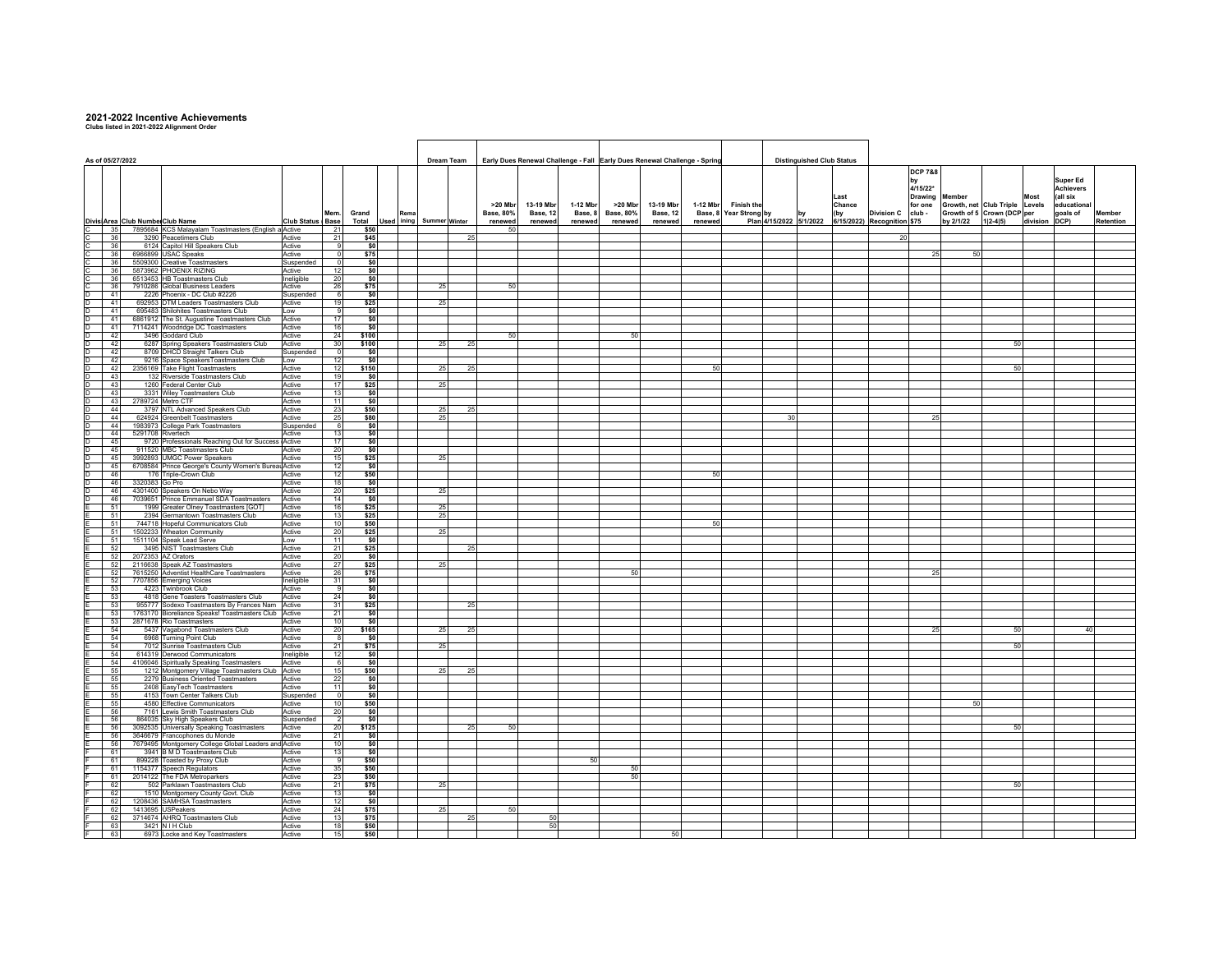## **2021-2022 Incentive Achievements Clubs listed in 2021-2022 Alignment Order**

|                  |  |                                                                                                        |                      |                          |               |            |            |                      |    |               |           |          | Early Dues Renewal Challenge - Fall Early Dues Renewal Challenge - Spring |           |          |                        | <b>Distinguished Club Status</b> |  |        |                             |                    |                                |               |                       |           |
|------------------|--|--------------------------------------------------------------------------------------------------------|----------------------|--------------------------|---------------|------------|------------|----------------------|----|---------------|-----------|----------|---------------------------------------------------------------------------|-----------|----------|------------------------|----------------------------------|--|--------|-----------------------------|--------------------|--------------------------------|---------------|-----------------------|-----------|
| As of 05/27/2022 |  |                                                                                                        |                      |                          |               | Dream Team |            |                      |    |               |           |          |                                                                           |           |          |                        |                                  |  |        |                             |                    |                                |               |                       |           |
|                  |  |                                                                                                        |                      |                          |               |            |            |                      |    |               |           |          |                                                                           |           |          |                        |                                  |  |        |                             | <b>DCP 7&amp;8</b> |                                |               |                       |           |
|                  |  |                                                                                                        |                      |                          |               |            |            |                      |    |               |           |          |                                                                           |           |          |                        |                                  |  |        |                             | 4/15/22*           |                                |               | Super Ed<br>Achievers |           |
|                  |  |                                                                                                        |                      |                          |               |            |            |                      |    |               |           |          |                                                                           |           |          |                        |                                  |  | Last   |                             | <b>Drawing</b>     | lember                         | Most          | (all six              |           |
|                  |  |                                                                                                        |                      |                          |               |            |            |                      |    | >20 Mbr       | 13-19 Mbr | 1-12 Mbr | >20 Mbr                                                                   | 13-19 Mbr | 1-12 Mbr | <b>Finish the</b>      |                                  |  | Chance |                             | for one            | Growth, net Club Triple Levels |               | educational           |           |
|                  |  |                                                                                                        |                      | Mem                      | Grand         |            |            |                      |    | Base, 80%     | Base, 12  | Base, 8  | <b>Base, 80%</b>                                                          | Base, 12  |          | Base, 8 Year Strong by |                                  |  | (by    | <b>Division C</b>           | club -             | Growth of 5 Crown (DCP per     |               | goals of              | Member    |
|                  |  | Divisi Area Club Numbe Club Name<br>35<br>7895684 KCS Malayalam Toastmasters (English a Active         | <b>Club Status</b>   | Base<br>21               | Total<br>\$50 |            | Used ining | <b>Summer Winter</b> |    | renewed<br>50 | renewed   | renewed  | renewee                                                                   | renewed   | renewed  |                        | Plan 4/15/2022 5/1/2022          |  |        | 6/15/2022) Recognition \$75 |                    | by 2/1/22<br>$1 2-4 5)$        | division DCP) |                       | Retention |
|                  |  | 36<br>3290 Peacetimers Club                                                                            | Active               | 21                       | \$45          |            |            |                      | 25 |               |           |          |                                                                           |           |          |                        |                                  |  |        | 20                          |                    |                                |               |                       |           |
|                  |  | 36<br>6124 Capitol Hill Speakers Club                                                                  | Active               | 9                        | \$0           |            |            |                      |    |               |           |          |                                                                           |           |          |                        |                                  |  |        |                             |                    |                                |               |                       |           |
|                  |  | 6966899 USAC Speaks<br>36                                                                              | Active               |                          | \$75          |            |            |                      |    |               |           |          |                                                                           |           |          |                        |                                  |  |        |                             | 25                 | 50                             |               |                       |           |
|                  |  | 36<br>5509300 Creative Toastmasters<br>36<br>5873962 PHOENIX RIZING                                    | Suspended<br>Active  | $\Omega$<br>12           | \$0<br>\$0    |            |            |                      |    |               |           |          |                                                                           |           |          |                        |                                  |  |        |                             |                    |                                |               |                       |           |
|                  |  | 36<br>6513453 HB Toastmasters Club                                                                     | Ineligible           | 20                       |               | \$0        |            |                      |    |               |           |          |                                                                           |           |          |                        |                                  |  |        |                             |                    |                                |               |                       |           |
| $rac{C}{D}$      |  | 7910286 Global Business Leaders<br>36                                                                  | Active               | 26                       | \$75          |            |            | 25                   |    | 50            |           |          |                                                                           |           |          |                        |                                  |  |        |                             |                    |                                |               |                       |           |
|                  |  | 41<br>2226 Phoenix - DC Club #2226                                                                     | Suspended            | -61                      | \$0           |            |            |                      |    |               |           |          |                                                                           |           |          |                        |                                  |  |        |                             |                    |                                |               |                       |           |
| D_               |  | 41<br>692953 DTM Leaders Toastmasters Club                                                             | Active               | 19                       | \$25          |            |            | 25                   |    |               |           |          |                                                                           |           |          |                        |                                  |  |        |                             |                    |                                |               |                       |           |
| o o o            |  | 41<br>695483 Shilohites Toastmasters Club<br>41<br>6861912 The St. Augustine Toastmasters Club         | Low<br>Active        | 9<br>17                  | \$0           | \$0        |            |                      |    |               |           |          |                                                                           |           |          |                        |                                  |  |        |                             |                    |                                |               |                       |           |
|                  |  | 41<br>7114241 Woodridge DC Toastmasters                                                                | Active               | 16                       | \$0           |            |            |                      |    |               |           |          |                                                                           |           |          |                        |                                  |  |        |                             |                    |                                |               |                       |           |
| D.               |  | 42<br>3496 Goddard Club                                                                                | Active               | 24                       | \$100         |            |            |                      |    | 50            |           |          | 50                                                                        |           |          |                        |                                  |  |        |                             |                    |                                |               |                       |           |
| D                |  | 6287 Spring Speakers Toastmasters Club<br>42                                                           | Active               | 30                       | \$100         |            |            | 25                   | 25 |               |           |          |                                                                           |           |          |                        |                                  |  |        |                             |                    | 50                             |               |                       |           |
| D<br>D           |  | 42<br>8709 DHCD Straight Talkers Club<br>42<br>9216 Space SpeakersToastmasters Club                    | Suspended<br>Low     | - 0<br>12                | \$0<br>\$0    |            |            |                      |    |               |           |          |                                                                           |           |          |                        |                                  |  |        |                             |                    |                                |               |                       |           |
| D                |  | 42<br>2356169 Take Flight Toastmasters                                                                 | Active               | 12                       | \$150         |            |            | 25                   | 25 |               |           |          |                                                                           |           | 50       |                        |                                  |  |        |                             |                    | 50                             |               |                       |           |
| D                |  | 43<br>132 Riverside Toastmasters Club                                                                  | Active               | 19                       | \$0           |            |            |                      |    |               |           |          |                                                                           |           |          |                        |                                  |  |        |                             |                    |                                |               |                       |           |
| D                |  | 43<br>1260 Federal Center Club                                                                         | Active               | 17                       | \$25          |            |            | 25                   |    |               |           |          |                                                                           |           |          |                        |                                  |  |        |                             |                    |                                |               |                       |           |
| D                |  | 43<br>3331 Wiley Toastmasters Club<br>43<br>2789724 Metro CTF                                          | Active<br>Active     | 13<br>11                 |               | \$0<br>\$0 |            |                      |    |               |           |          |                                                                           |           |          |                        |                                  |  |        |                             |                    |                                |               |                       |           |
| D<br>D           |  | 3797 NTL Advanced Speakers Club<br>44                                                                  | Active               | 23                       | \$50          |            |            | 25                   | 25 |               |           |          |                                                                           |           |          |                        |                                  |  |        |                             |                    |                                |               |                       |           |
| D                |  | 44<br>624924 Greenbelt Toastmasters                                                                    | Active               | 25                       | \$80          |            |            | 25                   |    |               |           |          |                                                                           |           |          |                        | 30                               |  |        |                             | 25                 |                                |               |                       |           |
| D                |  | 44<br>1983973 College Park Toastmasters                                                                | Suspended            | -61                      |               | \$0        |            |                      |    |               |           |          |                                                                           |           |          |                        |                                  |  |        |                             |                    |                                |               |                       |           |
| D.               |  | 44<br>5291708 Rivertech                                                                                | Active               | 13                       |               | \$0        |            |                      |    |               |           |          |                                                                           |           |          |                        |                                  |  |        |                             |                    |                                |               |                       |           |
| D<br>D           |  | 9720 Professionals Reaching Out for Success Active<br>45<br>45<br>911520 MBC Toastmasters Club         | Active               | 17                       | \$0           | \$0        |            |                      |    |               |           |          |                                                                           |           |          |                        |                                  |  |        |                             |                    |                                |               |                       |           |
| D                |  | 45<br>3992893 UMGC Power Speakers                                                                      | Active               | $\frac{20}{15}$          | \$25          |            |            | 25                   |    |               |           |          |                                                                           |           |          |                        |                                  |  |        |                             |                    |                                |               |                       |           |
| D                |  | 45<br>6708584 Prince George's County Women's Bureau Active                                             |                      | 12                       | \$0           |            |            |                      |    |               |           |          |                                                                           |           |          |                        |                                  |  |        |                             |                    |                                |               |                       |           |
| D                |  | 46<br>176 Triple-Crown Club                                                                            | Active               | 12                       | \$50          |            |            |                      |    |               |           |          |                                                                           |           | 50       |                        |                                  |  |        |                             |                    |                                |               |                       |           |
| D<br>D           |  | 46<br>3320383 Go Pro<br>46<br>4301400 Speakers On Nebo Way                                             | Active<br>Active     | 18<br>20                 | \$0<br>\$25   |            |            | 25                   |    |               |           |          |                                                                           |           |          |                        |                                  |  |        |                             |                    |                                |               |                       |           |
| D                |  | 46<br>7039651 Prince Emmanuel SDA Toastmasters                                                         | Active               | 14                       | \$0           |            |            |                      |    |               |           |          |                                                                           |           |          |                        |                                  |  |        |                             |                    |                                |               |                       |           |
|                  |  | 51<br>1999 Greater Olney Toastmasters [GOT]                                                            | Active               | 16                       | \$25          |            |            | 25                   |    |               |           |          |                                                                           |           |          |                        |                                  |  |        |                             |                    |                                |               |                       |           |
|                  |  | 51<br>2394 Germantown Toastmasters Club                                                                | Active               | 13                       | \$25          |            |            | 25                   |    |               |           |          |                                                                           |           |          |                        |                                  |  |        |                             |                    |                                |               |                       |           |
|                  |  | 51<br>744718 Hopeful Communicators Club<br>51<br>1502233 Wheaton Community                             | Active<br>Active     | 10<br>20                 | \$50<br>\$25  |            |            | 25                   |    |               |           |          |                                                                           |           | 50       |                        |                                  |  |        |                             |                    |                                |               |                       |           |
|                  |  | 51<br>1511104 Speak Lead Serve                                                                         | Low                  | 11                       | \$0           |            |            |                      |    |               |           |          |                                                                           |           |          |                        |                                  |  |        |                             |                    |                                |               |                       |           |
|                  |  | 52<br>3495 NIST Toastmasters Club                                                                      | Active               | 21                       | \$25          |            |            |                      | 25 |               |           |          |                                                                           |           |          |                        |                                  |  |        |                             |                    |                                |               |                       |           |
|                  |  | 52<br>2072353 AZ Orators                                                                               | Active               | 20                       |               | \$0        |            |                      |    |               |           |          |                                                                           |           |          |                        |                                  |  |        |                             |                    |                                |               |                       |           |
|                  |  | 52<br>2116638 Speak AZ Toastmasters<br>7615250 Adventist HealthCare Toastmasters<br>52                 | Active<br>Active     | 27                       | \$25<br>\$75  |            |            | 25                   |    |               |           |          | 50                                                                        |           |          |                        |                                  |  |        |                             | 25                 |                                |               |                       |           |
|                  |  | 52<br>7707856 Emerging Voices                                                                          | Ineligible           | 26<br>31                 | \$0           |            |            |                      |    |               |           |          |                                                                           |           |          |                        |                                  |  |        |                             |                    |                                |               |                       |           |
|                  |  | 53<br>4223 Twinbrook Club                                                                              | Active               | -91                      |               | \$0        |            |                      |    |               |           |          |                                                                           |           |          |                        |                                  |  |        |                             |                    |                                |               |                       |           |
|                  |  | 4818 Gene Toasters Toastmasters Club<br>53                                                             | Active               | 24                       |               | \$0        |            |                      |    |               |           |          |                                                                           |           |          |                        |                                  |  |        |                             |                    |                                |               |                       |           |
|                  |  | 53<br>955777 Sodexo Toastmasters By Frances Nam<br>53<br>1763170 Bioreliance Speaks! Toastmasters Club | Active<br>Active     | 31<br>21                 | \$25<br>\$0   |            |            |                      | 25 |               |           |          |                                                                           |           |          |                        |                                  |  |        |                             |                    |                                |               |                       |           |
|                  |  | 53<br>2871678 Rio Toastmasters                                                                         | Active               | 10 <sup>1</sup>          | \$0           |            |            |                      |    |               |           |          |                                                                           |           |          |                        |                                  |  |        |                             |                    |                                |               |                       |           |
|                  |  | 5437 Vagabond Toastmasters Club<br>54                                                                  | Active               | 20                       | \$165         |            |            | 25                   | 25 |               |           |          |                                                                           |           |          |                        |                                  |  |        |                             | 25                 | 50                             |               | 40                    |           |
|                  |  | 54<br>6968 Turning Point Club                                                                          | Active               | 8                        | \$0           |            |            |                      |    |               |           |          |                                                                           |           |          |                        |                                  |  |        |                             |                    |                                |               |                       |           |
|                  |  | 54<br>7012 Sunrise Toastmasters Club<br>54<br>614319 Derwood Communicators                             | Active<br>Ineligible | 21<br>12                 | \$75<br>\$0   |            |            | 25                   |    |               |           |          |                                                                           |           |          |                        |                                  |  |        |                             |                    | 50                             |               |                       |           |
|                  |  | 54<br>4106046 Spiritually Speaking Toastmasters                                                        | Active               | $6\overline{6}$          | \$0           |            |            |                      |    |               |           |          |                                                                           |           |          |                        |                                  |  |        |                             |                    |                                |               |                       |           |
|                  |  | 55<br>1212 Montgomery Village Toastmasters Club                                                        | Active               | 15                       | \$50          |            |            | 25                   | 25 |               |           |          |                                                                           |           |          |                        |                                  |  |        |                             |                    |                                |               |                       |           |
|                  |  | 55<br>2279 Business Oriented Toastmasters                                                              | Active               | 22                       | \$0           |            |            |                      |    |               |           |          |                                                                           |           |          |                        |                                  |  |        |                             |                    |                                |               |                       |           |
|                  |  | 55<br>2408 EasyTech Toastmasters<br>55<br>4153 Town Center Talkers Club                                | Active<br>Suspended  | $-11$<br>$\Omega$        | SO.<br>\$0    |            |            |                      |    |               |           |          |                                                                           |           |          |                        |                                  |  |        |                             |                    |                                |               |                       |           |
|                  |  | 55<br>4580 Effective Communicators                                                                     | Active               | 10                       | \$50          |            |            |                      |    |               |           |          |                                                                           |           |          |                        |                                  |  |        |                             |                    | 50                             |               |                       |           |
|                  |  | 56<br>7161 Lewis Smith Toastmasters Club                                                               | Active               | 20                       | \$0           |            |            |                      |    |               |           |          |                                                                           |           |          |                        |                                  |  |        |                             |                    |                                |               |                       |           |
|                  |  | 56<br>864035 Sky High Speakers Club                                                                    | Suspended            | $\overline{\phantom{a}}$ | \$0           |            |            |                      |    |               |           |          |                                                                           |           |          |                        |                                  |  |        |                             |                    |                                |               |                       |           |
|                  |  | 56<br>3092535 Universally Speaking Toastmasters                                                        | Active               | 20                       | \$125         |            |            |                      | 25 | 50            |           |          |                                                                           |           |          |                        |                                  |  |        |                             |                    | 50                             |               |                       |           |
|                  |  | 56<br>3646679 Francophones du Monde<br>56<br>7679495 Montgomery College Global Leaders and Active      | Active               | 21<br>10                 | \$0<br>\$0    |            |            |                      |    |               |           |          |                                                                           |           |          |                        |                                  |  |        |                             |                    |                                |               |                       |           |
|                  |  | 61<br>3941 B M D Toastmasters Club                                                                     | Active               | 13                       | \$0           |            |            |                      |    |               |           |          |                                                                           |           |          |                        |                                  |  |        |                             |                    |                                |               |                       |           |
|                  |  | 61<br>899228 Toasted by Proxy Club                                                                     | Active               | -9                       | \$50          |            |            |                      |    |               |           | 50       |                                                                           |           |          |                        |                                  |  |        |                             |                    |                                |               |                       |           |
|                  |  | 61<br>1154377 Speech Regulators                                                                        | Active               | 35                       | \$50          |            |            |                      |    |               |           |          | 50                                                                        |           |          |                        |                                  |  |        |                             |                    |                                |               |                       |           |
|                  |  | 61<br>2014122 The FDA Metroparkers<br>62<br>502 Parklawn Toastmasters Club                             | Active<br>Active     | 23<br>21                 | \$50<br>\$75  |            |            | 25                   |    |               |           |          | 50                                                                        |           |          |                        |                                  |  |        |                             |                    | 50                             |               |                       |           |
|                  |  | 62<br>1510 Montgomery County Govt. Club                                                                | Active               | 13                       | \$0           |            |            |                      |    |               |           |          |                                                                           |           |          |                        |                                  |  |        |                             |                    |                                |               |                       |           |
|                  |  | 1208436 SAMHSA Toastmasters<br>62                                                                      | Active               | 12                       | \$0           |            |            |                      |    |               |           |          |                                                                           |           |          |                        |                                  |  |        |                             |                    |                                |               |                       |           |
|                  |  | 1413695<br><b>USPeakers</b><br>62                                                                      | Active               | 24<br>13                 | \$75          |            |            | 25                   |    | 50            | 50        |          |                                                                           |           |          |                        |                                  |  |        |                             |                    |                                |               |                       |           |
|                  |  | 62<br>3714674 AHRQ Toastmasters Club<br>63<br>3421 N I H Club                                          | Active<br>Active     | 18                       | \$75<br>\$50  |            |            |                      | 25 |               | 50        |          |                                                                           |           |          |                        |                                  |  |        |                             |                    |                                |               |                       |           |
|                  |  | 6973 Locke and Key Toastmasters<br>63                                                                  | Active               | 15                       | \$50          |            |            |                      |    |               |           |          |                                                                           | 50        |          |                        |                                  |  |        |                             |                    |                                |               |                       |           |